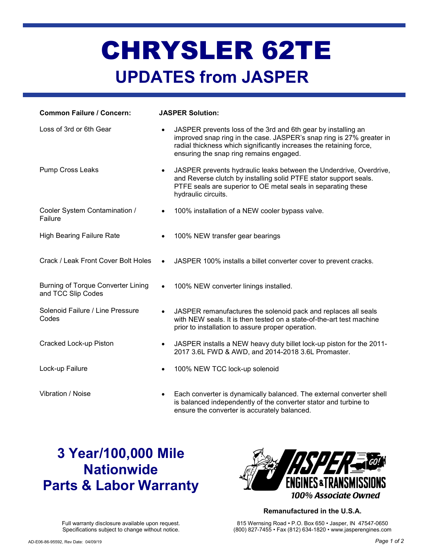# CHRYSLER 62TE UPDATES from JASPER

| <b>Common Failure / Concern:</b>                         | <b>JASPER Solution:</b>                                                                                                                                                                                                                                              |  |  |
|----------------------------------------------------------|----------------------------------------------------------------------------------------------------------------------------------------------------------------------------------------------------------------------------------------------------------------------|--|--|
| Loss of 3rd or 6th Gear                                  | JASPER prevents loss of the 3rd and 6th gear by installing an<br>$\bullet$<br>improved snap ring in the case. JASPER's snap ring is 27% greater in<br>radial thickness which significantly increases the retaining force,<br>ensuring the snap ring remains engaged. |  |  |
| Pump Cross Leaks                                         | JASPER prevents hydraulic leaks between the Underdrive, Overdrive,<br>$\bullet$<br>and Reverse clutch by installing solid PTFE stator support seals.<br>PTFE seals are superior to OE metal seals in separating these<br>hydraulic circuits.                         |  |  |
| Cooler System Contamination /<br>Failure                 | 100% installation of a NEW cooler bypass valve.<br>$\bullet$                                                                                                                                                                                                         |  |  |
| <b>High Bearing Failure Rate</b>                         | 100% NEW transfer gear bearings<br>$\bullet$                                                                                                                                                                                                                         |  |  |
| Crack / Leak Front Cover Bolt Holes                      | JASPER 100% installs a billet converter cover to prevent cracks.<br>$\bullet$                                                                                                                                                                                        |  |  |
| Burning of Torque Converter Lining<br>and TCC Slip Codes | 100% NEW converter linings installed.<br>$\bullet$                                                                                                                                                                                                                   |  |  |
| Solenoid Failure / Line Pressure<br>Codes                | JASPER remanufactures the solenoid pack and replaces all seals<br>$\bullet$<br>with NEW seals. It is then tested on a state-of-the-art test machine<br>prior to installation to assure proper operation.                                                             |  |  |
| Cracked Lock-up Piston                                   | JASPER installs a NEW heavy duty billet lock-up piston for the 2011-<br>$\bullet$<br>2017 3.6L FWD & AWD, and 2014-2018 3.6L Promaster.                                                                                                                              |  |  |
| Lock-up Failure                                          | 100% NEW TCC lock-up solenoid<br>$\bullet$                                                                                                                                                                                                                           |  |  |
| Vibration / Noise                                        | Each converter is dynamically balanced. The external converter shell<br>is balanced independently of the converter stator and turbine to                                                                                                                             |  |  |

ensure the converter is accurately balanced.

### 3 Year/100,000 Mile **Nationwide** Parts & Labor Warranty



#### Remanufactured in the U.S.A. 815 Wernsing Road • P.O. Box 650 • Jasper, IN 47547-0650

(800) 827-7455 • Fax (812) 634-1820 • www.jasperengines.com

Full warranty disclosure available upon request. Specifications subject to change without notice.